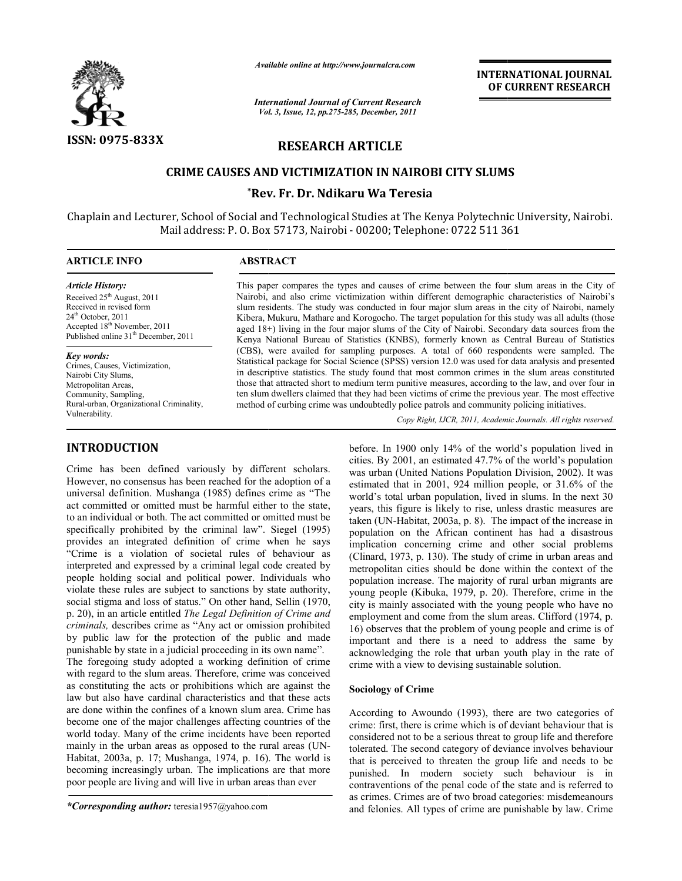

*Available online at http://www.journalcra.com*

*International Journal of Current Research Vol. 3, Issue, ternational 12, pp.275-285, December, 2011*

# **INTERNATIONAL INTERNATIONAL JOURNAL OF CURRENT RESEARCH OF**

# **RESEARCH ARTICLE**

# **CRIME CAUSES AND VICTIMIZATION IN NAIROBI CITY SLUMS**

# **\*Rev. Fr. Dr. Ndikaru Wa Teresia Rev.**

Chaplain and Lecturer, School of Social and Technological Studies at The Kenya Polytechnic University, Nairobi. Mail address: P. O. Box 57173, Nairobi - 00200; Telephone: 0722 511 361

# **ARTICLE INFO ABSTRACT**  $\overline{a}$

*Article History:* Received 25<sup>th</sup> August, 2011 Received in revised form  $24<sup>th</sup>$  October,  $2011$ Accepted 18<sup>th</sup> November, 2011 Published online 31<sup>th</sup> December, 2011

#### *Key words:*

Crimes, Causes, Victimization, Nairobi City Slums, Metropolitan Areas, Community, Sampling, Rural-urban, Organizational Criminality, Vulnerability.

# **INTRODUCTION**

Crime has been defined variously by different scholars. However, no consensus has been reached for the adoption of a universal definition. Mushanga (1985) defines crime as "The act committed or omitted must be harmful either to the state, to an individual or both. The act committed or omitted must be specifically prohibited by the criminal law". Siegel (1995) provides an integrated definition of crime when he says "Crime is a violation of societal rules of behaviour as interpreted and expressed by a criminal legal code created by Crime has been defined variously by different scholars.<br>However, no consensus has been reached for the adoption of a<br>universal definition. Mushanga (1985) defines crime as "The<br>act committed or omitted must be harmful eith violate these rules are subject to sanctions by state authority, social stigma and loss of status." On other hand, Sellin (1970, p. 20), in an article entitled *The Legal Definition of Crime and criminals,* describes crime as "Any act or omission prohibited by public law for the protection of the public and made punishable by state in a judicial proceeding in its own name". The foregoing study adopted a working definition of crime with regard to the slum areas. Therefore, crime was conceived as constituting the acts or prohibitions which are against the law but also have cardinal characteristics and that these acts are done within the confines of a known slum area. become one of the major challenges affecting countries of the world today. Many of the crime incidents have been reported mainly in the urban areas as opposed to the rural areas (UN Habitat, 2003a, p. 17; Mushanga, 1974, p. 16). The world is becoming increasingly urban. The implications are that more poor people are living and will live in urban areas than ever *inals*, describes crime as "Any act or omission prohibited public law for the protection of the public and made ishable by state in a judicial proceeding in its own name". foregoing study adopted a working definition of c ard to the slum areas. Therefore, crime was conceived<br>ituting the acts or prohibitions which are against the<br>also have cardinal characteristics and that these acts<br>within the confines of a known slum area. Crime has ecome one of the major challenges affecting countries of the<br>vorld today. Many of the crime incidents have been reported<br>nainly in the urban areas as opposed to the rural areas (UN-**CTION**<br>
lettree. In 1900 only 14% of the world's population<br>
become defined variously by different scholars. We surban (United Nations Population<br>
become defined in 2000, and the advantion areas areas the consensas has be

*\*Corresponding author:* teresia1957@yahoo.com

This paper compares the types and causes of crime between the four slum areas in the City of This paper compares the types and causes of crime between the four slum areas in the City of Nairobi, and also crime victimization within different demographic characteristics of Nairobi's slum residents. The study was conducted in four major slum areas in the city of Nairobi, namely Kibera, Mukuru, Mathare and Korogocho. The target population for this study was all adults (those aged 18+) living in the four major slums of the City of Nairobi. Secondary data sources from the Kenya National Bureau of Statistics (KNBS), formerly known as Central Bureau of Statistics (CBS), were availed for sampling purposes. A total of 660 respondents were sampled. The Statistical package for Social Science (SPSS) version 12.0 was used for data an in descriptive statistics. The study found that most common crimes in the slum areas constituted those that attracted short to medium term punitive measures, according to the law, and over four in ten slum dwellers claimed that they had been victims of crime the previous year. The most effective method of curbing crime was undoubtedly police patrols and community policing initiatives. Kibera, Mukuru, Mathare and Korogocho. The target population for this study was all adults (those aged 18+) living in the four major slums of the City of Nairobi. Secondary data sources from the Kenya National Bureau of St slum residents. The study was conducted in four major slum areas in the city of Nairobi, namely Kibera, Mukuru, Mathare and Korogocho. The target population for this study was all adults (those aged 18+) living in the four in descriptive statistics. The study found that most common crimes in the slum areas con<br>those that attracted short to medium term punitive measures, according to the law, and over<br>ten slum dwellers claimed that they had b

Copy Right, IJCR, 2011, Academic Journals. All rights reserved.

before. In 1900 only 14% of the world's population lived in cities. By 2001, an estimated 47.7% of the world's population was urban (United Nations Population Division, 2002). It was estimated that in 2001, 924 million people, or 31.6% of the world's total urban population, lived in slums. In the next 30 was urban (United Nations Population Division, 2002). It was estimated that in 2001, 924 million people, or 31.6% of the world's total urban population, lived in slums. In the next 30 years, this figure is likely to rise, taken (UN-Habitat, 2003a, p. 8). The impact of the increase in population on the African continent has had a disastrous implication concerning crime and other social problems (Clinard, 1973, p. 130). The study of crime in urban areas and metropolitan cities should be done within the context of the population increase. The majority of rural urban migrants are young people (Kibuka, 1979, p. 20). Therefore, crime in the city is mainly associated with the young people who have no employment and come from the slum areas. Clifford (1974, p. 16) observes that the problem of young people and crime is of important and there is a need to address the same by acknowledging the role that urban youth play in the rate of crime with a view to devising sustainable solution. implication concerning crime and other social problems (Clinard, 1973, p. 130). The study of crime in urban areas and metropolitain increase. The majority of rural urban migrants are young people (Kibuka, 1979, p. 20). The INTERNATIONAL JOURNAL<br>
OF CURRENT RESEARCH<br>
OF CURRENT RESEARCH<br>
OP SOLUMS<br>
Or CURRENT RESEARCH<br>
COMET INTERNATIONS<br>
OP SOLUMS<br>
OP SOLUMS<br>
OP SOLUMS<br>
COMET INTERNATION COMET INTERNATION CONTINUAL<br>
USE THE COMET INTERNATION

## **Sociology of Crime**

According to Awoundo (1993), there are two categories of crime: first, there is crime which is of deviant behaviour that is considered not to be a serious threat to group life and therefore tolerated. The second category of deviance involves behaviour that is perceived to threaten the group life and needs to be punished. In modern society such behaviour is in contraventions of the penal code of the state and is referred to as crimes. Crimes are of two broad categories: and felonies. All types of crime are punishable by law. Crime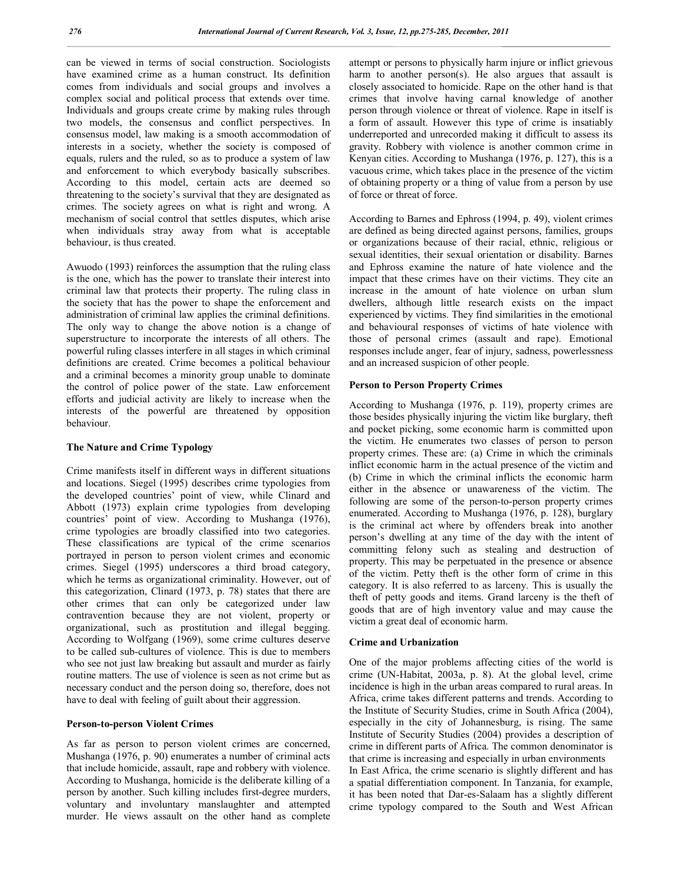can be viewed in terms of social construction. Sociologists have examined crime as a human construct. Its definition comes from individuals and social groups and involves a complex social and political process that extends over time. Individuals and groups create crime by making rules through two models, the consensus and conflict perspectives. In consensus model, law making is a smooth accommodation of interests in a society, whether the society is composed of equals, rulers and the ruled, so as to produce a system of law and enforcement to which everybody basically subscribes. According to this model, certain acts are deemed so threatening to the society's survival that they are designated as crimes. The society agrees on what is right and wrong. A mechanism of social control that settles disputes, which arise when individuals stray away from what is acceptable behaviour, is thus created.

Awuodo (1993) reinforces the assumption that the ruling class is the one, which has the power to translate their interest into criminal law that protects their property. The ruling class in the society that has the power to shape the enforcement and administration of criminal law applies the criminal definitions. The only way to change the above notion is a change of superstructure to incorporate the interests of all others. The powerful ruling classes interfere in all stages in which criminal definitions are created. Crime becomes a political behaviour and a criminal becomes a minority group unable to dominate the control of police power of the state. Law enforcement efforts and judicial activity are likely to increase when the interests of the powerful are threatened by opposition behaviour.

# **The Nature and Crime Typology**

Crime manifests itself in different ways in different situations and locations. Siegel (1995) describes crime typologies from the developed countries' point of view, while Clinard and Abbott (1973) explain crime typologies from developing countries' point of view. According to Mushanga (1976), crime typologies are broadly classified into two categories. These classifications are typical of the crime scenarios portrayed in person to person violent crimes and economic crimes. Siegel (1995) underscores a third broad category, which he terms as organizational criminality. However, out of this categorization, Clinard (1973, p. 78) states that there are other crimes that can only be categorized under law contravention because they are not violent, property or organizational, such as prostitution and illegal begging. According to Wolfgang (1969), some crime cultures deserve to be called sub-cultures of violence. This is due to members who see not just law breaking but assault and murder as fairly routine matters. The use of violence is seen as not crime but as necessary conduct and the person doing so, therefore, does not have to deal with feeling of guilt about their aggression.

#### **Person-to-person Violent Crimes**

As far as person to person violent crimes are concerned, Mushanga (1976, p. 90) enumerates a number of criminal acts that include homicide, assault, rape and robbery with violence. According to Mushanga, homicide is the deliberate killing of a person by another. Such killing includes first-degree murders, voluntary and involuntary manslaughter and attempted murder. He views assault on the other hand as complete

attempt or persons to physically harm injure or inflict grievous harm to another person(s). He also argues that assault is closely associated to homicide. Rape on the other hand is that crimes that involve having carnal knowledge of another person through violence or threat of violence. Rape in itself is a form of assault. However this type of crime is insatiably underreported and unrecorded making it difficult to assess its gravity. Robbery with violence is another common crime in Kenyan cities. According to Mushanga (1976, p. 127), this is a vacuous crime, which takes place in the presence of the victim of obtaining property or a thing of value from a person by use of force or threat of force.

According to Barnes and Ephross (1994, p. 49), violent crimes are defined as being directed against persons, families, groups or organizations because of their racial, ethnic, religious or sexual identities, their sexual orientation or disability. Barnes and Ephross examine the nature of hate violence and the impact that these crimes have on their victims. They cite an increase in the amount of hate violence on urban slum dwellers, although little research exists on the impact experienced by victims. They find similarities in the emotional and behavioural responses of victims of hate violence with those of personal crimes (assault and rape). Emotional responses include anger, fear of injury, sadness, powerlessness and an increased suspicion of other people.

# **Person to Person Property Crimes**

According to Mushanga (1976, p. 119), property crimes are those besides physically injuring the victim like burglary, theft and pocket picking, some economic harm is committed upon the victim. He enumerates two classes of person to person property crimes. These are: (a) Crime in which the criminals inflict economic harm in the actual presence of the victim and (b) Crime in which the criminal inflicts the economic harm either in the absence or unawareness of the victim. The following are some of the person-to-person property crimes enumerated. According to Mushanga (1976, p. 128), burglary is the criminal act where by offenders break into another person's dwelling at any time of the day with the intent of committing felony such as stealing and destruction of property. This may be perpetuated in the presence or absence of the victim. Petty theft is the other form of crime in this category. It is also referred to as larceny. This is usually the theft of petty goods and items. Grand larceny is the theft of goods that are of high inventory value and may cause the victim a great deal of economic harm.

#### **Crime and Urbanization**

One of the major problems affecting cities of the world is crime (UN-Habitat, 2003a, p. 8). At the global level, crime incidence is high in the urban areas compared to rural areas. In Africa, crime takes different patterns and trends. According to the Institute of Security Studies, crime in South Africa (2004), especially in the city of Johannesburg, is rising. The same Institute of Security Studies (2004) provides a description of crime in different parts of Africa. The common denominator is that crime is increasing and especially in urban environments In East Africa, the crime scenario is slightly different and has a spatial differentiation component. In Tanzania, for example, it has been noted that Dar-es-Salaam has a slightly different crime typology compared to the South and West African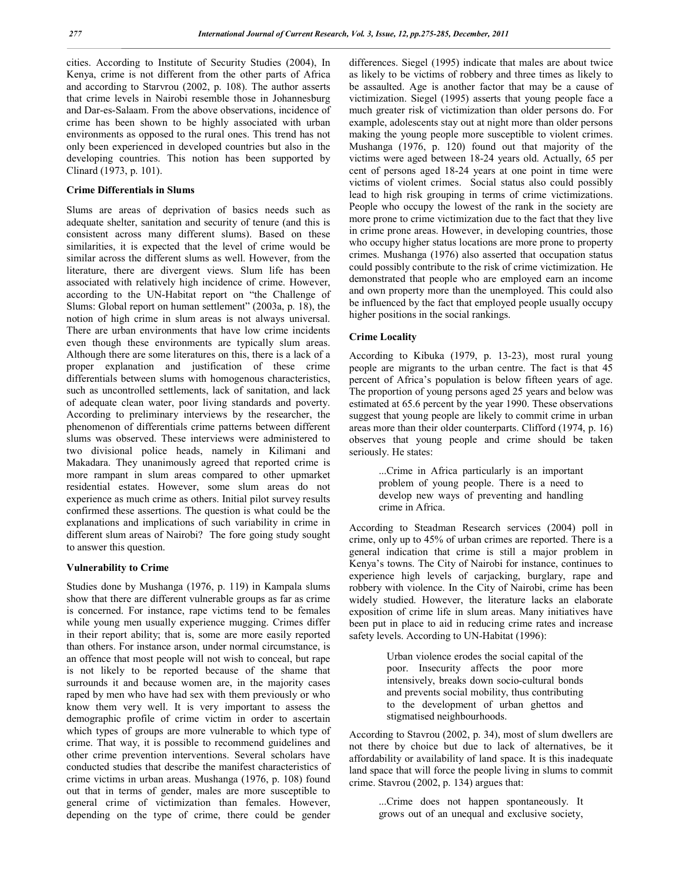cities. According to Institute of Security Studies (2004), In Kenya, crime is not different from the other parts of Africa and according to Starvrou (2002, p. 108). The author asserts that crime levels in Nairobi resemble those in Johannesburg and Dar-es-Salaam. From the above observations, incidence of crime has been shown to be highly associated with urban environments as opposed to the rural ones. This trend has not only been experienced in developed countries but also in the developing countries. This notion has been supported by Clinard (1973, p. 101).

# **Crime Differentials in Slums**

Slums are areas of deprivation of basics needs such as adequate shelter, sanitation and security of tenure (and this is consistent across many different slums). Based on these similarities, it is expected that the level of crime would be similar across the different slums as well. However, from the literature, there are divergent views. Slum life has been associated with relatively high incidence of crime. However, according to the UN-Habitat report on "the Challenge of Slums: Global report on human settlement" (2003a, p. 18), the notion of high crime in slum areas is not always universal. There are urban environments that have low crime incidents even though these environments are typically slum areas. Although there are some literatures on this, there is a lack of a proper explanation and justification of these crime differentials between slums with homogenous characteristics, such as uncontrolled settlements, lack of sanitation, and lack of adequate clean water, poor living standards and poverty. According to preliminary interviews by the researcher, the phenomenon of differentials crime patterns between different slums was observed. These interviews were administered to two divisional police heads, namely in Kilimani and Makadara. They unanimously agreed that reported crime is more rampant in slum areas compared to other upmarket residential estates. However, some slum areas do not experience as much crime as others. Initial pilot survey results confirmed these assertions. The question is what could be the explanations and implications of such variability in crime in different slum areas of Nairobi? The fore going study sought to answer this question.

## **Vulnerability to Crime**

Studies done by Mushanga (1976, p. 119) in Kampala slums show that there are different vulnerable groups as far as crime is concerned. For instance, rape victims tend to be females while young men usually experience mugging. Crimes differ in their report ability; that is, some are more easily reported than others. For instance arson, under normal circumstance, is an offence that most people will not wish to conceal, but rape is not likely to be reported because of the shame that surrounds it and because women are, in the majority cases raped by men who have had sex with them previously or who know them very well. It is very important to assess the demographic profile of crime victim in order to ascertain which types of groups are more vulnerable to which type of crime. That way, it is possible to recommend guidelines and other crime prevention interventions. Several scholars have conducted studies that describe the manifest characteristics of crime victims in urban areas. Mushanga (1976, p. 108) found out that in terms of gender, males are more susceptible to general crime of victimization than females. However, depending on the type of crime, there could be gender

differences. Siegel (1995) indicate that males are about twice as likely to be victims of robbery and three times as likely to be assaulted. Age is another factor that may be a cause of victimization. Siegel (1995) asserts that young people face a much greater risk of victimization than older persons do. For example, adolescents stay out at night more than older persons making the young people more susceptible to violent crimes. Mushanga (1976, p. 120) found out that majority of the victims were aged between 18-24 years old. Actually, 65 per cent of persons aged 18-24 years at one point in time were victims of violent crimes. Social status also could possibly lead to high risk grouping in terms of crime victimizations. People who occupy the lowest of the rank in the society are more prone to crime victimization due to the fact that they live in crime prone areas. However, in developing countries, those who occupy higher status locations are more prone to property crimes. Mushanga (1976) also asserted that occupation status could possibly contribute to the risk of crime victimization. He demonstrated that people who are employed earn an income and own property more than the unemployed. This could also be influenced by the fact that employed people usually occupy higher positions in the social rankings.

#### **Crime Locality**

According to Kibuka (1979, p. 13-23), most rural young people are migrants to the urban centre. The fact is that 45 percent of Africa's population is below fifteen years of age. The proportion of young persons aged 25 years and below was estimated at 65.6 percent by the year 1990. These observations suggest that young people are likely to commit crime in urban areas more than their older counterparts. Clifford (1974, p. 16) observes that young people and crime should be taken seriously. He states:

> ...Crime in Africa particularly is an important problem of young people. There is a need to develop new ways of preventing and handling crime in Africa.

According to Steadman Research services (2004) poll in crime, only up to 45% of urban crimes are reported. There is a general indication that crime is still a major problem in Kenya's towns. The City of Nairobi for instance, continues to experience high levels of carjacking, burglary, rape and robbery with violence. In the City of Nairobi, crime has been widely studied. However, the literature lacks an elaborate exposition of crime life in slum areas. Many initiatives have been put in place to aid in reducing crime rates and increase safety levels. According to UN-Habitat (1996):

> Urban violence erodes the social capital of the poor. Insecurity affects the poor more intensively, breaks down socio-cultural bonds and prevents social mobility, thus contributing to the development of urban ghettos and stigmatised neighbourhoods.

According to Stavrou (2002, p. 34), most of slum dwellers are not there by choice but due to lack of alternatives, be it affordability or availability of land space. It is this inadequate land space that will force the people living in slums to commit crime. Stavrou (2002, p. 134) argues that:

> ...Crime does not happen spontaneously. It grows out of an unequal and exclusive society,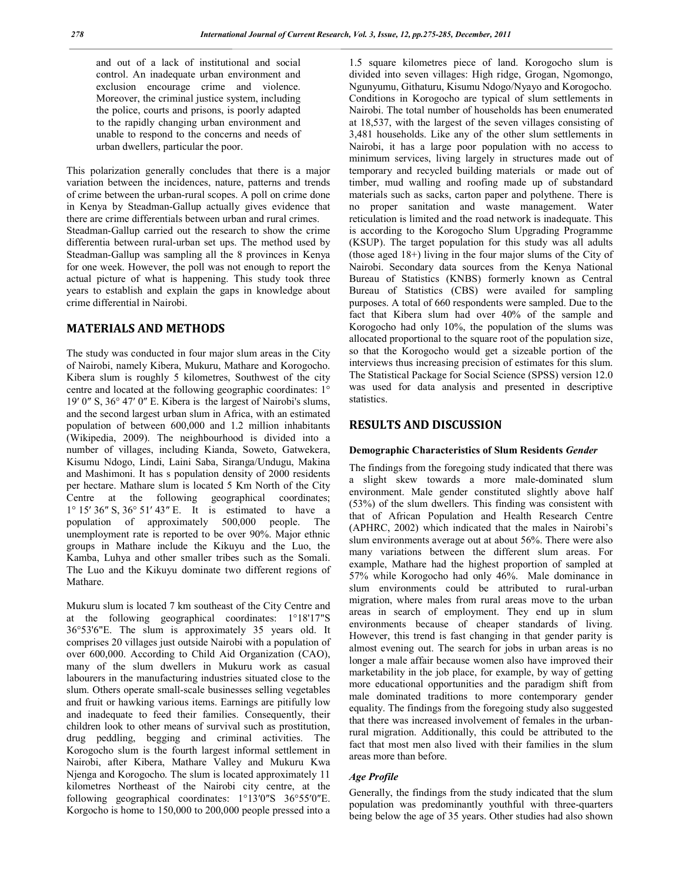and out of a lack of institutional and social control. An inadequate urban environment and exclusion encourage crime and violence. Moreover, the criminal justice system, including the police, courts and prisons, is poorly adapted to the rapidly changing urban environment and unable to respond to the concerns and needs of urban dwellers, particular the poor.

This polarization generally concludes that there is a major variation between the incidences, nature, patterns and trends of crime between the urban-rural scopes. A poll on crime done in Kenya by Steadman-Gallup actually gives evidence that there are crime differentials between urban and rural crimes. Steadman-Gallup carried out the research to show the crime differentia between rural-urban set ups. The method used by Steadman-Gallup was sampling all the 8 provinces in Kenya for one week. However, the poll was not enough to report the actual picture of what is happening. This study took three years to establish and explain the gaps in knowledge about crime differential in Nairobi.

# **MATERIALS AND METHODS**

The study was conducted in four major slum areas in the City of Nairobi, namely Kibera, Mukuru, Mathare and Korogocho. Kibera slum is roughly 5 kilometres, Southwest of the city centre and located at the following geographic coordinates: 1° 19′ 0″ S, 36° 47′ 0″ E. Kibera is the largest of Nairobi's slums, and the second largest urban slum in Africa, with an estimated population of between 600,000 and 1.2 million inhabitants (Wikipedia, 2009). The neighbourhood is divided into a number of villages, including Kianda, Soweto, Gatwekera, Kisumu Ndogo, Lindi, Laini Saba, Siranga/Undugu, Makina and Mashimoni. It has s population density of 2000 residents per hectare. Mathare slum is located 5 Km North of the City Centre at the following geographical coordinates; 1° 15′ 36″ S, 36° 51′ 43″ E. It is estimated to have a population of approximately 500,000 people. The unemployment rate is reported to be over 90%. Major ethnic groups in Mathare include the Kikuyu and the Luo, the Kamba, Luhya and other smaller tribes such as the Somali. The Luo and the Kikuyu dominate two different regions of Mathare.

Mukuru slum is located 7 km southeast of the City Centre and at the following geographical coordinates: 1°18'17"S 36°53'6"E. The slum is approximately 35 years old. It comprises 20 villages just outside Nairobi with a population of over 600,000. According to Child Aid Organization (CAO), many of the slum dwellers in Mukuru work as casual labourers in the manufacturing industries situated close to the slum. Others operate small-scale businesses selling vegetables and fruit or hawking various items. Earnings are pitifully low and inadequate to feed their families. Consequently, their children look to other means of survival such as prostitution, drug peddling, begging and criminal activities. The Korogocho slum is the fourth largest informal settlement in Nairobi, after Kibera, Mathare Valley and Mukuru Kwa Njenga and Korogocho. The slum is located approximately 11 kilometres Northeast of the Nairobi city centre, at the following geographical coordinates: 1°13′0″S 36°55′0″E. Korgocho is home to 150,000 to 200,000 people pressed into a

1.5 square kilometres piece of land. Korogocho slum is divided into seven villages: High ridge, Grogan, Ngomongo, Ngunyumu, Githaturu, Kisumu Ndogo/Nyayo and Korogocho. Conditions in Korogocho are typical of slum settlements in Nairobi. The total number of households has been enumerated at 18,537, with the largest of the seven villages consisting of 3,481 households. Like any of the other slum settlements in Nairobi, it has a large poor population with no access to minimum services, living largely in structures made out of temporary and recycled building materials or made out of timber, mud walling and roofing made up of substandard materials such as sacks, carton paper and polythene. There is no proper sanitation and waste management. Water reticulation is limited and the road network is inadequate. This is according to the Korogocho Slum Upgrading Programme (KSUP). The target population for this study was all adults (those aged 18+) living in the four major slums of the City of Nairobi. Secondary data sources from the Kenya National Bureau of Statistics (KNBS) formerly known as Central Bureau of Statistics (CBS) were availed for sampling purposes. A total of 660 respondents were sampled. Due to the fact that Kibera slum had over 40% of the sample and Korogocho had only 10%, the population of the slums was allocated proportional to the square root of the population size, so that the Korogocho would get a sizeable portion of the interviews thus increasing precision of estimates for this slum. The Statistical Package for Social Science (SPSS) version 12.0 was used for data analysis and presented in descriptive statistics.

# **RESULTS AND DISCUSSION**

#### **Demographic Characteristics of Slum Residents** *Gender*

The findings from the foregoing study indicated that there was a slight skew towards a more male-dominated slum environment. Male gender constituted slightly above half (53%) of the slum dwellers. This finding was consistent with that of African Population and Health Research Centre (APHRC, 2002) which indicated that the males in Nairobi's slum environments average out at about 56%. There were also many variations between the different slum areas. For example, Mathare had the highest proportion of sampled at 57% while Korogocho had only 46%. Male dominance in slum environments could be attributed to rural-urban migration, where males from rural areas move to the urban areas in search of employment. They end up in slum environments because of cheaper standards of living. However, this trend is fast changing in that gender parity is almost evening out. The search for jobs in urban areas is no longer a male affair because women also have improved their marketability in the job place, for example, by way of getting more educational opportunities and the paradigm shift from male dominated traditions to more contemporary gender equality. The findings from the foregoing study also suggested that there was increased involvement of females in the urbanrural migration. Additionally, this could be attributed to the fact that most men also lived with their families in the slum areas more than before.

#### *Age Profile*

Generally, the findings from the study indicated that the slum population was predominantly youthful with three-quarters being below the age of 35 years. Other studies had also shown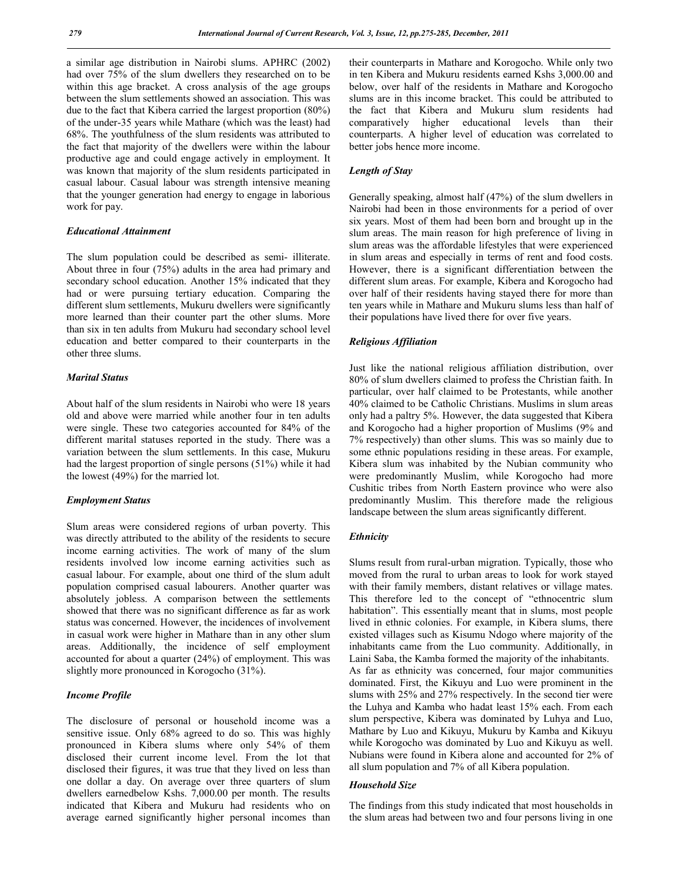a similar age distribution in Nairobi slums. APHRC (2002) had over 75% of the slum dwellers they researched on to be within this age bracket. A cross analysis of the age groups between the slum settlements showed an association. This was due to the fact that Kibera carried the largest proportion (80%) of the under-35 years while Mathare (which was the least) had 68%. The youthfulness of the slum residents was attributed to the fact that majority of the dwellers were within the labour productive age and could engage actively in employment. It was known that majority of the slum residents participated in casual labour. Casual labour was strength intensive meaning that the younger generation had energy to engage in laborious work for pay.

# *Educational Attainment*

The slum population could be described as semi- illiterate. About three in four (75%) adults in the area had primary and secondary school education. Another 15% indicated that they had or were pursuing tertiary education. Comparing the different slum settlements, Mukuru dwellers were significantly more learned than their counter part the other slums. More than six in ten adults from Mukuru had secondary school level education and better compared to their counterparts in the other three slums.

# *Marital Status*

About half of the slum residents in Nairobi who were 18 years old and above were married while another four in ten adults were single. These two categories accounted for 84% of the different marital statuses reported in the study. There was a variation between the slum settlements. In this case, Mukuru had the largest proportion of single persons (51%) while it had the lowest (49%) for the married lot.

# *Employment Status*

Slum areas were considered regions of urban poverty. This was directly attributed to the ability of the residents to secure income earning activities. The work of many of the slum residents involved low income earning activities such as casual labour. For example, about one third of the slum adult population comprised casual labourers. Another quarter was absolutely jobless. A comparison between the settlements showed that there was no significant difference as far as work status was concerned. However, the incidences of involvement in casual work were higher in Mathare than in any other slum areas. Additionally, the incidence of self employment accounted for about a quarter (24%) of employment. This was slightly more pronounced in Korogocho (31%).

# *Income Profile*

The disclosure of personal or household income was a sensitive issue. Only 68% agreed to do so. This was highly pronounced in Kibera slums where only 54% of them disclosed their current income level. From the lot that disclosed their figures, it was true that they lived on less than one dollar a day. On average over three quarters of slum dwellers earnedbelow Kshs. 7,000.00 per month. The results indicated that Kibera and Mukuru had residents who on average earned significantly higher personal incomes than

their counterparts in Mathare and Korogocho. While only two in ten Kibera and Mukuru residents earned Kshs 3,000.00 and below, over half of the residents in Mathare and Korogocho slums are in this income bracket. This could be attributed to the fact that Kibera and Mukuru slum residents had comparatively higher educational levels than their counterparts. A higher level of education was correlated to better jobs hence more income.

# *Length of Stay*

Generally speaking, almost half (47%) of the slum dwellers in Nairobi had been in those environments for a period of over six years. Most of them had been born and brought up in the slum areas. The main reason for high preference of living in slum areas was the affordable lifestyles that were experienced in slum areas and especially in terms of rent and food costs. However, there is a significant differentiation between the different slum areas. For example, Kibera and Korogocho had over half of their residents having stayed there for more than ten years while in Mathare and Mukuru slums less than half of their populations have lived there for over five years.

# *Religious Affiliation*

Just like the national religious affiliation distribution, over 80% of slum dwellers claimed to profess the Christian faith. In particular, over half claimed to be Protestants, while another 40% claimed to be Catholic Christians. Muslims in slum areas only had a paltry 5%. However, the data suggested that Kibera and Korogocho had a higher proportion of Muslims (9% and 7% respectively) than other slums. This was so mainly due to some ethnic populations residing in these areas. For example, Kibera slum was inhabited by the Nubian community who were predominantly Muslim, while Korogocho had more Cushitic tribes from North Eastern province who were also predominantly Muslim. This therefore made the religious landscape between the slum areas significantly different.

## *Ethnicity*

Slums result from rural-urban migration. Typically, those who moved from the rural to urban areas to look for work stayed with their family members, distant relatives or village mates. This therefore led to the concept of "ethnocentric slum habitation". This essentially meant that in slums, most people lived in ethnic colonies. For example, in Kibera slums, there existed villages such as Kisumu Ndogo where majority of the inhabitants came from the Luo community. Additionally, in Laini Saba, the Kamba formed the majority of the inhabitants. As far as ethnicity was concerned, four major communities dominated. First, the Kikuyu and Luo were prominent in the slums with 25% and 27% respectively. In the second tier were the Luhya and Kamba who hadat least 15% each. From each slum perspective, Kibera was dominated by Luhya and Luo, Mathare by Luo and Kikuyu, Mukuru by Kamba and Kikuyu while Korogocho was dominated by Luo and Kikuyu as well. Nubians were found in Kibera alone and accounted for 2% of all slum population and 7% of all Kibera population.

## *Household Size*

The findings from this study indicated that most households in the slum areas had between two and four persons living in one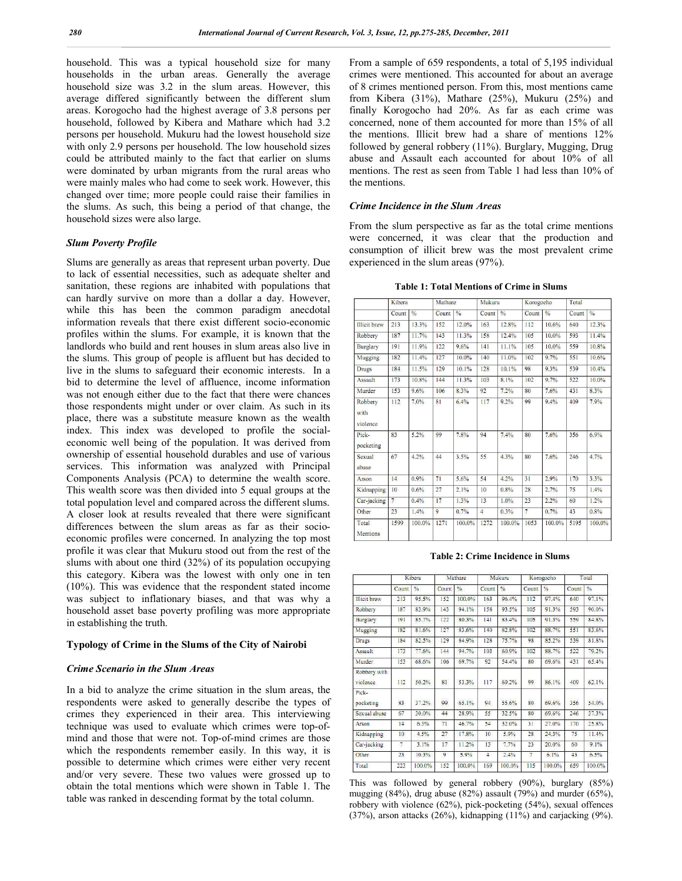household. This was a typical household size for many households in the urban areas. Generally the average household size was 3.2 in the slum areas. However, this average differed significantly between the different slum areas. Korogocho had the highest average of 3.8 persons per household, followed by Kibera and Mathare which had 3.2 persons per household. Mukuru had the lowest household size with only 2.9 persons per household. The low household sizes could be attributed mainly to the fact that earlier on slums were dominated by urban migrants from the rural areas who were mainly males who had come to seek work. However, this changed over time; more people could raise their families in the slums. As such, this being a period of that change, the household sizes were also large.

#### *Slum Poverty Profile*

Slums are generally as areas that represent urban poverty. Due to lack of essential necessities, such as adequate shelter and sanitation, these regions are inhabited with populations that can hardly survive on more than a dollar a day. However, while this has been the common paradigm anecdotal information reveals that there exist different socio-economic profiles within the slums. For example, it is known that the landlords who build and rent houses in slum areas also live in the slums. This group of people is affluent but has decided to live in the slums to safeguard their economic interests. In a bid to determine the level of affluence, income information was not enough either due to the fact that there were chances those respondents might under or over claim. As such in its place, there was a substitute measure known as the wealth index. This index was developed to profile the socialeconomic well being of the population. It was derived from ownership of essential household durables and use of various services. This information was analyzed with Principal Components Analysis (PCA) to determine the wealth score. This wealth score was then divided into 5 equal groups at the total population level and compared across the different slums. A closer look at results revealed that there were significant differences between the slum areas as far as their socioeconomic profiles were concerned. In analyzing the top most profile it was clear that Mukuru stood out from the rest of the slums with about one third (32%) of its population occupying this category. Kibera was the lowest with only one in ten (10%). This was evidence that the respondent stated income was subject to inflationary biases, and that was why a household asset base poverty profiling was more appropriate in establishing the truth.

#### **Typology of Crime in the Slums of the City of Nairobi**

#### *Crime Scenario in the Slum Areas*

In a bid to analyze the crime situation in the slum areas, the respondents were asked to generally describe the types of crimes they experienced in their area. This interviewing technique was used to evaluate which crimes were top-ofmind and those that were not. Top-of-mind crimes are those which the respondents remember easily. In this way, it is possible to determine which crimes were either very recent and/or very severe. These two values were grossed up to obtain the total mentions which were shown in Table 1. The table was ranked in descending format by the total column.

From a sample of 659 respondents, a total of 5,195 individual crimes were mentioned. This accounted for about an average of 8 crimes mentioned person. From this, most mentions came from Kibera (31%), Mathare (25%), Mukuru (25%) and finally Korogocho had 20%. As far as each crime was concerned, none of them accounted for more than 15% of all the mentions. Illicit brew had a share of mentions 12% followed by general robbery (11%). Burglary, Mugging, Drug abuse and Assault each accounted for about 10% of all mentions. The rest as seen from Table 1 had less than 10% of the mentions.

# *Crime Incidence in the Slum Areas*

From the slum perspective as far as the total crime mentions were concerned, it was clear that the production and consumption of illicit brew was the most prevalent crime experienced in the slum areas (97%).

**Table 1: Total Mentions of Crime in Slums**

|                             | Kibera |               | Mathare |               | Mukuru         |               | Korogocho         |               | Total |               |
|-----------------------------|--------|---------------|---------|---------------|----------------|---------------|-------------------|---------------|-------|---------------|
|                             | Count  | $\frac{0}{n}$ | Count   | $\frac{9}{6}$ | Count          | $\frac{0}{n}$ | Count             | $\frac{0}{n}$ | Count | $\frac{0}{6}$ |
| <b>Illicit</b> brew         | 213    | 13.3%         | 152     | 12.0%         | 163            | 12.8%         | 112               | 10.6%         | 640   | 12.3%         |
| Robbery                     | 187    | 11.7%         | 143     | 11.3%         | 158            | 12.4%         | 105               | 10.0%         | 593   | 11.4%         |
| <b>Burglary</b>             | 191    | 11.9%         | 122     | 9.6%          | 141            | 11.1%         | 105               | 10.0%         | 559   | 10.8%         |
| Mugging                     | 182    | 11.4%         | 127     | 10.0%         | 140            | 11.0%         | 102               | 9.7%          | 551   | 10.6%         |
| <b>Drugs</b>                | 184    | 11.5%         | 129     | 10.1%         | 128            | 10.1%         | 98                | 9.3%          | 539   | 10.4%         |
| <b>Assault</b>              | 173    | 10.8%         | 144     | 11.3%         | 103            | 8.1%          | 102               | 9.7%          | 522   | $10.0\%$      |
| Murder                      | 153    | 9.6%          | 106     | 8.3%          | 92             | 7.2%          | 80                | 7.6%          | 431   | 8.3%          |
| Robbery<br>with<br>violence | 112    | 7.0%          | 81      | 6.4%          | 117            | 9.2%          | 99                | 9.4%          | 409   | 7.9%          |
| Pick-<br>pocketing          | 83     | 5.2%          | 99      | 7.8%          | 94             | 7.4%          | 80                | 7.6%          | 356   | 6.9%          |
| Sexual<br>abuse             | 67     | 4.2%          | 44      | 3.5%          | 55             | 4.3%          | 80                | 7.6%          | 246   | 4.7%          |
| Arson                       | 14     | 0.9%          | 71      | 5.6%          | 54             | 4.2%          | 31                | 2.9%          | 170   | 3.3%          |
| Kidnapping                  | 10     | 0.6%          | 27      | 2.1%          | 10             | 0.8%          | 28                | 2.7%          | 75    | 1.4%          |
| Car-jacking                 | $\tau$ | 0.4%          | 17      | 1.3%          | 13             | 1.0%          | $\overline{23}$   | 2.2%          | 60    | 1.2%          |
| Other                       | 23     | 1.4%          | 9       | 0.7%          | $\overline{4}$ | 0.3%          | $\overline{\tau}$ | 0.7%          | 43    | 0.8%          |
| Total<br><b>Mentions</b>    | 1599   | 100.0%        | 1271    | 100.0%        | 1272           | $100.0\%$     | 1053              | 100.0%        | 5195  | 100.0%        |

**Table 2: Crime Incidence in Slums**

|                          |       | Kibera        |       | Mathare |                | Mukuru        |       | Korogocho     |       | Total         |
|--------------------------|-------|---------------|-------|---------|----------------|---------------|-------|---------------|-------|---------------|
|                          | Count | $\frac{a}{b}$ | Count | $\%$    | Count          | $\frac{a}{c}$ | Count | $\frac{9}{6}$ | Count | $\frac{a}{b}$ |
| <b>Illicit</b> brew      | 213   | 95.5%         | 152   | 100.0%  | 163            | 96.4%         | 112   | 97.4%         | 640   | 97.1%         |
| Robbery                  | 187   | 83.9%         | 143   | 94.1%   | 158            | 93.5%         | 105   | 91.3%         | 593   | 90.0%         |
| Burglary                 | 191   | 85.7%         | 122   | 80.3%   | 141            | 83.4%         | 105   | 91.3%         | 559   | 84.8%         |
| Mugging                  | 182   | 81.6%         | 127   | 83.6%   | 140            | 82.8%         | 102   | 88.7%         | 551   | 83.6%         |
| <b>Drugs</b>             | 184   | 82.5%         | 129   | 84.9%   | 128            | 75.7%         | 98    | 85.2%         | 539   | 81.8%         |
| Assault                  | 173   | 77.6%         | 144   | 94.7%   | 103            | 60.9%         | 102   | 88.7%         | 522   | 79.2%         |
| Murder                   | 153   | 68.6%         | 106   | 69.7%   | 92             | 54.4%         | 80    | 69.6%         | 431   | 65.4%         |
| Robbery with<br>violence | 112   | 50.2%         | 81    | 53.3%   | 117            | 69.2%         | 99    | 86.1%         | 409   | 62.1%         |
| Pick-<br>pocketing       | 83    | 37.2%         | 99    | 65.1%   | 94             | 55.6%         | 80    | 69.6%         | 356   | 54.0%         |
| Sexual abuse             | 67    | 30.0%         | 44    | 28.9%   | 55             | 32.5%         | 80    | 69.6%         | 246   | 37.3%         |
| Arson                    | 14    | 6.3%          | 71    | 46.7%   | 54             | 32.0%         | 31    | 27.0%         | 170   | 25.8%         |
| Kidnapping               | 10    | 4.5%          | 27    | 17.8%   | 10             | 5.9%          | 28    | 24.3%         | 75    | I1.4%         |
| Car-jacking              | 7     | 3.1%          | 17    | 11.2%   | 13             | 7.7%          | 23    | 20.0%         | 60    | 9.1%          |
| Other.                   | 23    | 10.3%         | 9     | 5.9%    | $\overline{4}$ | 2.4%          | 7     | 6.1%          | 43.   | 6.5%          |
| Total                    | 223   | 100.0%        | 152   | 100.0%  | 169            | 100.0%        | 115   | 100.0%        | 659   | 100.0%        |

This was followed by general robbery (90%), burglary (85%) mugging (84%), drug abuse (82%) assault (79%) and murder (65%), robbery with violence (62%), pick-pocketing (54%), sexual offences (37%), arson attacks (26%), kidnapping (11%) and carjacking (9%).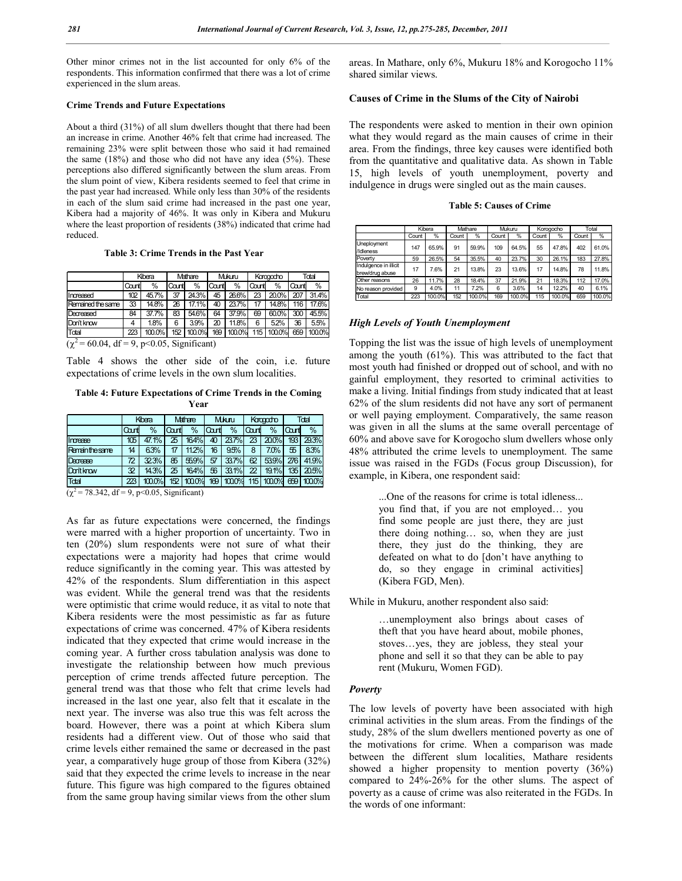Other minor crimes not in the list accounted for only 6% of the respondents. This information confirmed that there was a lot of crime experienced in the slum areas.

#### **Crime Trends and Future Expectations**

About a third (31%) of all slum dwellers thought that there had been an increase in crime. Another 46% felt that crime had increased. The remaining 23% were split between those who said it had remained the same (18%) and those who did not have any idea (5%). These perceptions also differed significantly between the slum areas. From the slum point of view, Kibera residents seemed to feel that crime in the past year had increased. While only less than 30% of the residents in each of the slum said crime had increased in the past one year, Kibera had a majority of 46%. It was only in Kibera and Mukuru where the least proportion of residents (38%) indicated that crime had reduced.

#### **Table 3: Crime Trends in the Past Year**

|                   |       | Kibera |       | Mathare |       | Mukuru |       | Karagadho |       | Total  |
|-------------------|-------|--------|-------|---------|-------|--------|-------|-----------|-------|--------|
|                   | Count | %      | Count | $\%$    | Count | $\%$   | Count | $\%$      | Count | $\%$   |
| Increased         | 102   | 45.7%  | 37    | 24.3%   | 45    | 26.6%  | 23    | 20.0%     | 207   | 31.4%  |
| Remained the same | 33    | 14.8%  | 26    | 17.1%   | 40    | 23.7%  | 17    | 14.8%     | 116   | 17.6%  |
| Decreased         | 84    | 37.7%  | 83    | 54.6%   | 64    | 37.9%  | 69    | 60.0%     | 300   | 45.5%  |
| Don't know        | 4     | 1.8%   | 6     | 3.9%    | 20    | 11.8%  | 6     | 5.2%      | 36    | 5.5%   |
| Total             | 223   | 100.0% | 152   | 100.0%  | 169   | 100.0% | 115   | 100.0%    | 659   | 100.0% |

 $(\chi^2 = 60.04, df = 9, p<0.05, Significant)$ 

Table 4 shows the other side of the coin, i.e. future expectations of crime levels in the own slum localities.

#### **Table 4: Future Expectations of Crime Trends in the Coming Year**

|                      |      | Kibera |       | Mathare | <b>Mkuru</b> |                                             | Kacapatro       |                          |                | Total |
|----------------------|------|--------|-------|---------|--------------|---------------------------------------------|-----------------|--------------------------|----------------|-------|
|                      | Cant | %      | lCart | %       | lCart        | %                                           | lcart           | %                        | lat            | $\%$  |
| Imrease              | 105  | 47.1%  | 25    | 164%    | 40           | 23.7%                                       | 23 <sup>1</sup> | 20.0%                    | 193            | 29.3% |
| <b>Remainthesame</b> | 14   | 63%    | 17    | 11.2%   | 16           | 95%                                         | 8               | 7.0%                     | $\overline{5}$ | 8.3%  |
| Decrease             | 72   | 323%   | 85    | 55.9%   | 57           | 33.7%                                       | 62              | 53.9%                    | 276            | 41.9% |
| Dan't know           | 32   | 14.3%  | 25    | 164%    | 56           | 33.1%                                       |                 | 22   19.1%   135   20.5% |                |       |
| Tdal                 | 223  | 100.0% |       |         |              | 152 100.0% 169 100.0% 115 100.0% 659 100.0% |                 |                          |                |       |

 $(\chi^2$  = 78.342, df = 9, p<0.05, Significant)

As far as future expectations were concerned, the findings were marred with a higher proportion of uncertainty. Two in ten (20%) slum respondents were not sure of what their expectations were a majority had hopes that crime would reduce significantly in the coming year. This was attested by 42% of the respondents. Slum differentiation in this aspect was evident. While the general trend was that the residents were optimistic that crime would reduce, it as vital to note that Kibera residents were the most pessimistic as far as future expectations of crime was concerned. 47% of Kibera residents indicated that they expected that crime would increase in the coming year. A further cross tabulation analysis was done to investigate the relationship between how much previous perception of crime trends affected future perception. The general trend was that those who felt that crime levels had increased in the last one year, also felt that it escalate in the next year. The inverse was also true this was felt across the board. However, there was a point at which Kibera slum residents had a different view. Out of those who said that crime levels either remained the same or decreased in the past year, a comparatively huge group of those from Kibera (32%) said that they expected the crime levels to increase in the near future. This figure was high compared to the figures obtained from the same group having similar views from the other slum

areas. In Mathare, only 6%, Mukuru 18% and Korogocho 11% shared similar views.

#### **Causes of Crime in the Slums of the City of Nairobi**

The respondents were asked to mention in their own opinion what they would regard as the main causes of crime in their area. From the findings, three key causes were identified both from the quantitative and qualitative data. As shown in Table 15, high levels of youth unemployment, poverty and indulgence in drugs were singled out as the main causes.

| <b>Table 5: Causes of Crime</b> |  |
|---------------------------------|--|
|---------------------------------|--|

|                                          |       | Kibera |       | Mathare |       | Mukuru |       | Koroaocho |       | Total  |
|------------------------------------------|-------|--------|-------|---------|-------|--------|-------|-----------|-------|--------|
|                                          | Count | %      | Count | %       | Count | %      | Count | %         | Count | %      |
| <b>Uneployment</b><br>/Idleness          | 147   | 65.9%  | 91    | 59.9%   | 109   | 64.5%  | 55    | 47.8%     | 402   | 61.0%  |
| Poverty                                  | 59    | 26.5%  | 54    | 35.5%   | 40    | 23.7%  | 30    | 26.1%     | 183   | 27.8%  |
| Indulgence in illicit<br>brew/drug abuse | 17    | 7.6%   | 21    | 13.8%   | 23    | 13.6%  | 17    | 14.8%     | 78    | 11.8%  |
| Other reasons                            | 26    | 11.7%  | 28    | 18.4%   | 37    | 21.9%  | 21    | 18.3%     | 112   | 17.0%  |
| No reason provided                       | 9     | 4.0%   | 11    | 7.2%    | 6     | 3.6%   | 14    | 12.2%     | 40    | 6.1%   |
| Total                                    | 223   | 100.0% | 152   | 100.0%  | 169   | 100.0% | 115   | 100.0%    | 659   | 100.0% |

# *High Levels of Youth Unemployment*

Topping the list was the issue of high levels of unemployment among the youth (61%). This was attributed to the fact that most youth had finished or dropped out of school, and with no gainful employment, they resorted to criminal activities to make a living. Initial findings from study indicated that at least 62% of the slum residents did not have any sort of permanent or well paying employment. Comparatively, the same reason was given in all the slums at the same overall percentage of 60% and above save for Korogocho slum dwellers whose only 48% attributed the crime levels to unemployment. The same issue was raised in the FGDs (Focus group Discussion), for example, in Kibera, one respondent said:

...One of the reasons for crime is total idleness... you find that, if you are not employed… you find some people are just there, they are just there doing nothing… so, when they are just there, they just do the thinking, they are defeated on what to do [don't have anything to do, so they engage in criminal activities] (Kibera FGD, Men).

While in Mukuru, another respondent also said:

…unemployment also brings about cases of theft that you have heard about, mobile phones, stoves…yes, they are jobless, they steal your phone and sell it so that they can be able to pay rent (Mukuru, Women FGD).

# *Poverty*

The low levels of poverty have been associated with high criminal activities in the slum areas. From the findings of the study, 28% of the slum dwellers mentioned poverty as one of the motivations for crime. When a comparison was made between the different slum localities, Mathare residents showed a higher propensity to mention poverty (36%) compared to 24%-26% for the other slums. The aspect of poverty as a cause of crime was also reiterated in the FGDs. In the words of one informant: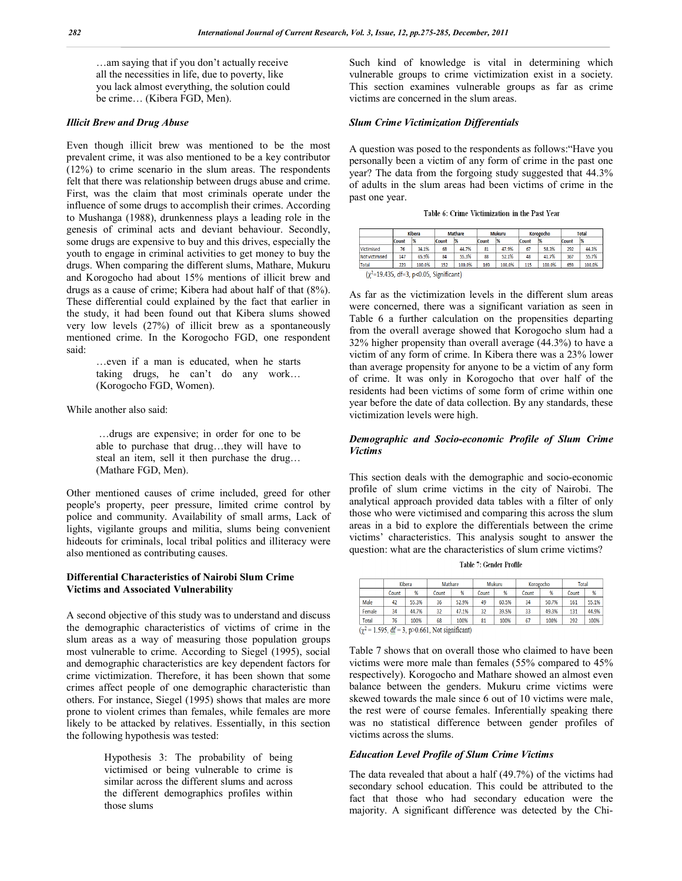…am saying that if you don't actually receive all the necessities in life, due to poverty, like you lack almost everything, the solution could be crime… (Kibera FGD, Men).

#### *Illicit Brew and Drug Abuse*

Even though illicit brew was mentioned to be the most prevalent crime, it was also mentioned to be a key contributor (12%) to crime scenario in the slum areas. The respondents felt that there was relationship between drugs abuse and crime. First, was the claim that most criminals operate under the influence of some drugs to accomplish their crimes. According to Mushanga (1988), drunkenness plays a leading role in the genesis of criminal acts and deviant behaviour. Secondly, some drugs are expensive to buy and this drives, especially the youth to engage in criminal activities to get money to buy the drugs. When comparing the different slums, Mathare, Mukuru and Korogocho had about 15% mentions of illicit brew and drugs as a cause of crime; Kibera had about half of that (8%). These differential could explained by the fact that earlier in the study, it had been found out that Kibera slums showed very low levels (27%) of illicit brew as a spontaneously mentioned crime. In the Korogocho FGD, one respondent said:

> …even if a man is educated, when he starts taking drugs, he can't do any work… (Korogocho FGD, Women).

While another also said:

…drugs are expensive; in order for one to be able to purchase that drug…they will have to steal an item, sell it then purchase the drug… (Mathare FGD, Men).

Other mentioned causes of crime included, greed for other people's property, peer pressure, limited crime control by police and community. Availability of small arms, Lack of lights, vigilante groups and militia, slums being convenient hideouts for criminals, local tribal politics and illiteracy were also mentioned as contributing causes.

# **Differential Characteristics of Nairobi Slum Crime Victims and Associated Vulnerability**

A second objective of this study was to understand and discuss the demographic characteristics of victims of crime in the slum areas as a way of measuring those population groups most vulnerable to crime. According to Siegel (1995), social and demographic characteristics are key dependent factors for crime victimization. Therefore, it has been shown that some crimes affect people of one demographic characteristic than others. For instance, Siegel (1995) shows that males are more prone to violent crimes than females, while females are more likely to be attacked by relatives. Essentially, in this section the following hypothesis was tested:

> Hypothesis 3: The probability of being victimised or being vulnerable to crime is similar across the different slums and across the different demographics profiles within those slums

Such kind of knowledge is vital in determining which vulnerable groups to crime victimization exist in a society. This section examines vulnerable groups as far as crime victims are concerned in the slum areas.

# *Slum Crime Victimization Differentials*

A question was posed to the respondents as follows:"Have you personally been a victim of any form of crime in the past one year? The data from the forgoing study suggested that 44.3% of adults in the slum areas had been victims of crime in the past one year.

Table 6: Crime Victimization in the Past Year

|                                                    |       | <b>Kibera</b> |       | <b>Mathare</b> |       | <b>Mukuru</b> |       | Korogocho | <b>Total</b> |        |
|----------------------------------------------------|-------|---------------|-------|----------------|-------|---------------|-------|-----------|--------------|--------|
|                                                    | Count | 1%            | Count | 1%             | Count | $\frac{1}{2}$ | Count | 1%        | Count        | 1%     |
| <b>Victimised</b>                                  | 76    | 34.1%         | 68    | 44.7%          | 81    | 47.9%         | 67    | 58.3%     | 292          | 44.3%  |
| Not victimised                                     | 147   | 65.9%         | 84    | 55.3%          | 88    | 52.1%         | 48    | 41.7%     | 367          | 55.7%  |
| <b>Total</b>                                       | 223   | 100.0%        | 152   | 100.0%         | 169   | 100.0%        | 115   | 100.0%    | 659          | 100.0% |
| $(\chi^2 = 19.435, df = 3, p < 0.05, Significant)$ |       |               |       |                |       |               |       |           |              |        |

As far as the victimization levels in the different slum areas were concerned, there was a significant variation as seen in Table 6 a further calculation on the propensities departing from the overall average showed that Korogocho slum had a 32% higher propensity than overall average (44.3%) to have a victim of any form of crime. In Kibera there was a 23% lower than average propensity for anyone to be a victim of any form of crime. It was only in Korogocho that over half of the residents had been victims of some form of crime within one year before the date of data collection. By any standards, these victimization levels were high.

# *Demographic and Socio-economic Profile of Slum Crime Victims*

This section deals with the demographic and socio-economic profile of slum crime victims in the city of Nairobi. The analytical approach provided data tables with a filter of only those who were victimised and comparing this across the slum areas in a bid to explore the differentials between the crime victims' characteristics. This analysis sought to answer the question: what are the characteristics of slum crime victims?

Table 7: Gender Profile

|                                                                                |       | Kibera |       | Mathare |       | Mukuru | Korogocho |       | Total |       |
|--------------------------------------------------------------------------------|-------|--------|-------|---------|-------|--------|-----------|-------|-------|-------|
|                                                                                | Count | %      | Count | %       | Count | %      | Count     | %     | Count | %     |
| Male                                                                           | 42    | 55.3%  | 36    | 52.9%   | 49    | 60.5%  | 34        | 50.7% | 161   | 55.1% |
| Female                                                                         | 34    | 44.7%  | 32    | 47.1%   | 32    | 39.5%  | 33        | 49.3% | 131   | 44.9% |
| Total                                                                          | 76    | 100%   | 68    | 100%    | 81    | 100%   | 67        | 100%  | 292   | 100%  |
| $(\chi^2 = 1.595, \text{ df} = 3, \text{ p} > 0.661, \text{ Not significant})$ |       |        |       |         |       |        |           |       |       |       |

Table 7 shows that on overall those who claimed to have been victims were more male than females (55% compared to 45% respectively). Korogocho and Mathare showed an almost even balance between the genders. Mukuru crime victims were skewed towards the male since 6 out of 10 victims were male, the rest were of course females. Inferentially speaking there was no statistical difference between gender profiles of victims across the slums.

# *Education Level Profile of Slum Crime Victims*

The data revealed that about a half (49.7%) of the victims had secondary school education. This could be attributed to the fact that those who had secondary education were the majority. A significant difference was detected by the Chi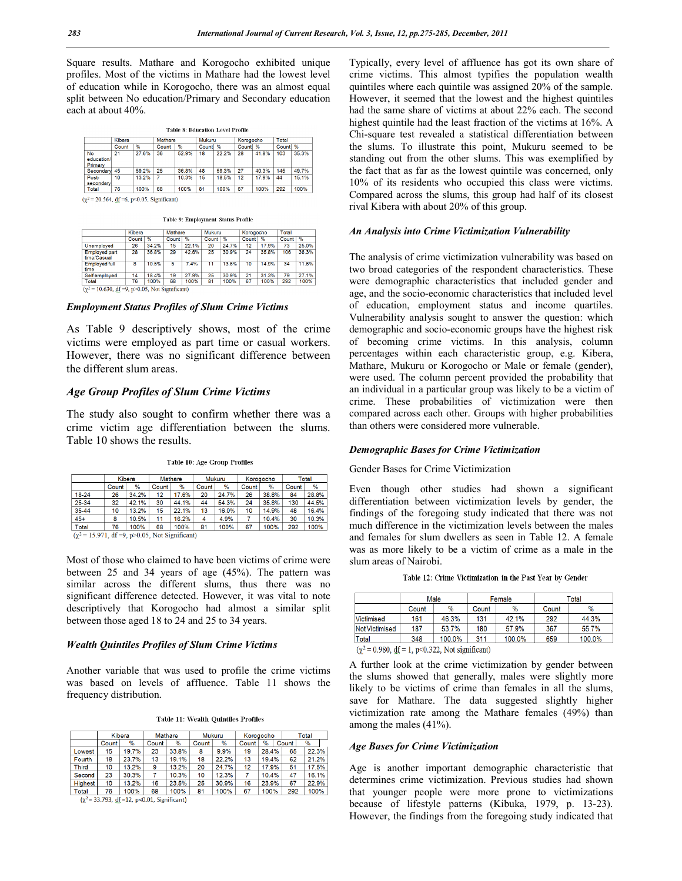Square results. Mathare and Korogocho exhibited unique profiles. Most of the victims in Mathare had the lowest level of education while in Korogocho, there was an almost equal split between No education/Primary and Secondary education each at about 40%.

| <b>Table 8: Education Level Profile</b> |  |
|-----------------------------------------|--|
|-----------------------------------------|--|

|                             | Kibera |       | Mathare        |       | Mukuru |       | Korogocho |       | Total |       |
|-----------------------------|--------|-------|----------------|-------|--------|-------|-----------|-------|-------|-------|
|                             | Count  | %     | Count          | %     | Count  | $\%$  | Count     | $\%$  | Count | $\%$  |
| No<br>education/<br>Primary | 21     | 27.6% | 36             | 52.9% | 18     | 22.2% | 28        | 41.8% | 103   | 35.3% |
| Secondary                   | 45     | 59.2% | 25             | 36.8% | 48     | 59.3% | 27        | 40.3% | 145   | 49.7% |
| Post-<br>secondary          | 10     | 13.2% | $\overline{7}$ | 10.3% | 15     | 18.5% | 12        | 17.9% | 44    | 15.1% |
| Total                       | 76     | 100%  | 68             | 100%  | 81     | 100%  | 67        | 100%  | 292   | 100%  |

 $(\gamma^2 = 20.564, df = 6, p < 0.05,$  Significant)

Table 9: Employment Status Profile

|                                     | Kibera |       | Mathare |       | Mukuru |       | Korogocho |       | Total |       |
|-------------------------------------|--------|-------|---------|-------|--------|-------|-----------|-------|-------|-------|
|                                     | Count  | %     | Count   | %     | Count  | %     | Count     | %     | Count | %     |
| <b>Unemployed</b>                   | 26     | 34.2% | 15      | 22.1% | 20     | 24.7% | 12        | 17.9% | 73    | 25.0% |
| <b>Employed part</b><br>time/Casual | 28     | 36.8% | 29      | 42.6% | 25     | 30.9% | 24        | 35.8% | 106   | 36.3% |
| <b>Employed full</b><br>time        | 8      | 10.5% | 5       | 7.4%  | 11     | 13.6% | 10        | 14.9% | 34    | 11.6% |
| <b>Self employed</b>                | 14     | 18.4% | 19      | 27.9% | 25     | 30.9% | 21        | 31.3% | 79    | 27.1% |
| Total                               | 76     | 100%  | 68      | 100%  | 81     | 100%  | 67        | 100%  | 292   | 100%  |

#### *Employment Status Profiles of Slum Crime Victims*

As Table 9 descriptively shows, most of the crime victims were employed as part time or casual workers. However, there was no significant difference between the different slum areas.

# *Age Group Profiles of Slum Crime Victims*

The study also sought to confirm whether there was a crime victim age differentiation between the slums. Table 10 shows the results.

|       | Kibera |       | Mathare |       |       | Mukuru |       | Korogocho | Total |       |
|-------|--------|-------|---------|-------|-------|--------|-------|-----------|-------|-------|
|       | Count  | %     | Count   | %     | Count | %      | Count | %         | Count | %     |
| 18-24 | 26     | 34.2% | 12      | 17.6% | 20    | 24.7%  | 26    | 38.8%     | 84    | 28.8% |
| 25-34 | 32     | 42.1% | 30      | 44.1% | 44    | 54.3%  | 24    | 35.8%     | 130   | 44.5% |
| 35-44 | 10     | 13.2% | 15      | 22.1% | 13    | 16.0%  | 10    | 14.9%     | 48    | 16.4% |
| $45+$ | 8      | 10.5% | 11      | 16.2% | 4     | 4.9%   |       | 10.4%     | 30    | 10.3% |
| Total | 76     | 100%  | 68      | 100%  | 81    | 100%   | 67    | 100%      | 292   | 100%  |

Table 10: Age Group Profiles

 $(\chi^2 = 15.971, df = 9, p > 0.05, Not Significant)$ 

Most of those who claimed to have been victims of crime were between 25 and 34 years of age (45%). The pattern was similar across the different slums, thus there was no significant difference detected. However, it was vital to note descriptively that Korogocho had almost a similar split between those aged 18 to 24 and 25 to 34 years.

#### *Wealth Quintiles Profiles of Slum Crime Victims*

Another variable that was used to profile the crime victims was based on levels of affluence. Table 11 shows the frequency distribution.

|  |  |  | Table 11: Wealth Quintiles Profiles |  |
|--|--|--|-------------------------------------|--|
|--|--|--|-------------------------------------|--|

|                | Kibera |               | Mathare   |       | Mukuru |       |       | Korogocho |       | Total |  |  |
|----------------|--------|---------------|-----------|-------|--------|-------|-------|-----------|-------|-------|--|--|
|                | Count  | $\frac{9}{6}$ | Count     | %     | Count  | $\%$  | Count | %         | Count | %     |  |  |
| Lowest         | 15     | 19.7%         | 23        | 33.8% | 8      | 9.9%  | 19    | 28.4%     | 65    | 22.3% |  |  |
| Fourth         | 18     | 23.7%         | 13        | 19.1% | 18     | 22.2% | 13    | 19.4%     | 62    | 21.2% |  |  |
| <b>Third</b>   | 10     | 13.2%         | 9         | 13.2% | 20     | 24.7% | 12    | 17.9%     | 51    | 17.5% |  |  |
| Second         | 23     | 30.3%         |           | 10.3% | 10     | 12.3% |       | 10.4%     | 47    | 16.1% |  |  |
| <b>Highest</b> | 10     | 13.2%         | 16        | 23.5% | 25     | 30.9% | 16    | 23.9%     | 67    | 22.9% |  |  |
| Total          | 76     | 100%          | <b>AR</b> | 100%  | 81     | 100%  | 67    | 100%      | 292   | 100%  |  |  |

 $(\chi^2 = 33.793, df = 12, p < 0.01, Significant)$ 

Typically, every level of affluence has got its own share of crime victims. This almost typifies the population wealth quintiles where each quintile was assigned 20% of the sample. However, it seemed that the lowest and the highest quintiles had the same share of victims at about 22% each. The second highest quintile had the least fraction of the victims at 16%. A Chi-square test revealed a statistical differentiation between the slums. To illustrate this point, Mukuru seemed to be standing out from the other slums. This was exemplified by the fact that as far as the lowest quintile was concerned, only 10% of its residents who occupied this class were victims. Compared across the slums, this group had half of its closest rival Kibera with about 20% of this group.

#### *An Analysis into Crime Victimization Vulnerability*

The analysis of crime victimization vulnerability was based on two broad categories of the respondent characteristics. These were demographic characteristics that included gender and age, and the socio-economic characteristics that included level of education, employment status and income quartiles. Vulnerability analysis sought to answer the question: which demographic and socio-economic groups have the highest risk of becoming crime victims. In this analysis, column percentages within each characteristic group, e.g. Kibera, Mathare, Mukuru or Korogocho or Male or female (gender), were used. The column percent provided the probability that an individual in a particular group was likely to be a victim of crime. These probabilities of victimization were then compared across each other. Groups with higher probabilities than others were considered more vulnerable.

#### *Demographic Bases for Crime Victimization*

#### Gender Bases for Crime Victimization

Even though other studies had shown a significant differentiation between victimization levels by gender, the findings of the foregoing study indicated that there was not much difference in the victimization levels between the males and females for slum dwellers as seen in Table 12. A female was as more likely to be a victim of crime as a male in the slum areas of Nairobi.

|  | Table 12: Crime Victimization in the Past Year by Gender |  |  |  |
|--|----------------------------------------------------------|--|--|--|
|  |                                                          |  |  |  |

|                |               | Male         |       | Female | Total         |       |  |
|----------------|---------------|--------------|-------|--------|---------------|-------|--|
|                | Count         | %            | Count | $\%$   | Count         | $\%$  |  |
| Victimised     | 161           | 46.3%        | 131   | 42.1%  | 292           | 44.3% |  |
| Not Victimised | 187           | 180<br>53.7% |       | 57.9%  | 367           | 55.7% |  |
| Total          | 348<br>100.0% |              | 311   | 100.0% | 659<br>100.0% |       |  |

 $(\chi^2 = 0.980, \text{ df} = 1, \text{ p} < 0.322, \text{ Not significant})$ 

A further look at the crime victimization by gender between the slums showed that generally, males were slightly more likely to be victims of crime than females in all the slums, save for Mathare. The data suggested slightly higher victimization rate among the Mathare females (49%) than among the males (41%).

## *Age Bases for Crime Victimization*

Age is another important demographic characteristic that determines crime victimization. Previous studies had shown that younger people were more prone to victimizations because of lifestyle patterns (Kibuka, 1979, p. 13-23). However, the findings from the foregoing study indicated that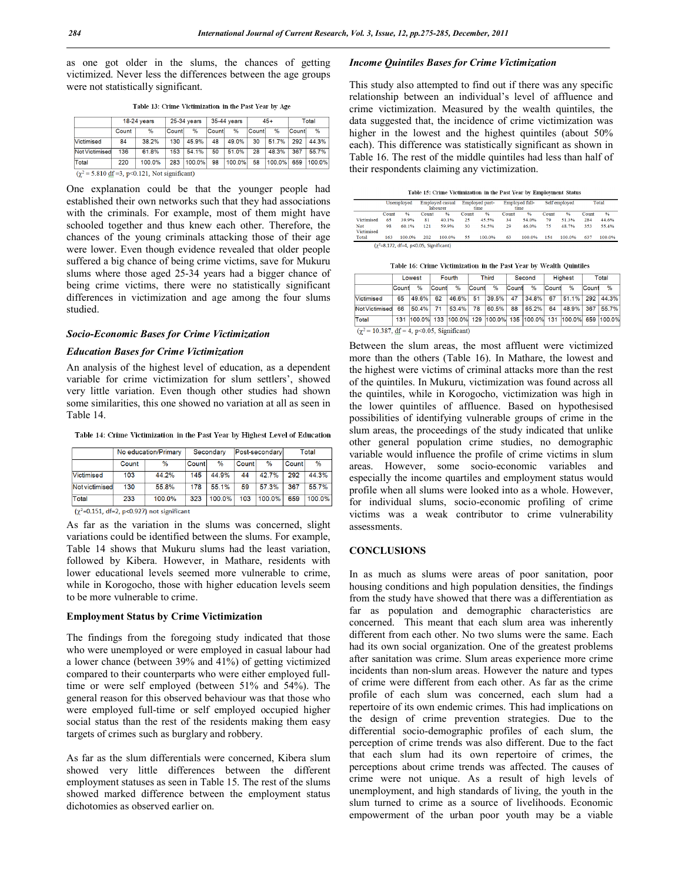as one got older in the slums, the chances of getting victimized. Never less the differences between the age groups were not statistically significant.

| 18-24 vears                  |        | 25-34 years |       | 35-44 vears |             |       |               | Total           |                 |
|------------------------------|--------|-------------|-------|-------------|-------------|-------|---------------|-----------------|-----------------|
| Count                        | $\%$   |             | %     |             | $\%$        |       | $\frac{9}{6}$ |                 | $\frac{9}{6}$   |
| 84                           | 38.2%  | 130         | 45.9% | 48          | 49.0%       | 30    | 51.7%         | 292             | 44.3%           |
| <b>Not Victimised</b><br>136 | 61.8%  | 153         | 54.1% | 50          | 51.0%       | 28    | 48.3%         | 367             | 55.7%           |
| 220                          | 100.0% | 283         |       | 98          |             | 58    |               | 659             | 100.0%          |
|                              |        |             |       | Countl      | $ 100.0\% $ | Count | 100.0%        | $45+$<br>Countl | Count<br>100.0% |

Table 13: Crime Victimization in the Past Year by Age

 $(\chi^2 = 5.810 \text{ df} = 3, \text{ p} < 0.121, \text{ Not significant})$ 

One explanation could be that the younger people had established their own networks such that they had associations with the criminals. For example, most of them might have schooled together and thus knew each other. Therefore, the chances of the young criminals attacking those of their age were lower. Even though evidence revealed that older people suffered a big chance of being crime victims, save for Mukuru slums where those aged 25-34 years had a bigger chance of being crime victims, there were no statistically significant differences in victimization and age among the four slums studied.

#### *Socio-Economic Bases for Crime Victimization*

#### *Education Bases for Crime Victimization*

An analysis of the highest level of education, as a dependent variable for crime victimization for slum settlers', showed very little variation. Even though other studies had shown some similarities, this one showed no variation at all as seen in Table 14.

Table 14: Crime Victimization in the Past Year by Highest Level of Education

|                                                         |       | No education/Primary |       | Secondary |       | Post-secondary | Total |           |  |  |
|---------------------------------------------------------|-------|----------------------|-------|-----------|-------|----------------|-------|-----------|--|--|
|                                                         | Count | $\%$                 | Count | %         | Count | $\%$           | Count | $\%$      |  |  |
| Victimised                                              | 103   | 44.2%                | 145   | 44.9%     | 44    | 42.7%          | 292   | 44.3%     |  |  |
| <b>Not victimised</b>                                   | 130   | 55.8%                | 178   | 55.1%     | 59    | 57.3%          | 367   | 55.7%     |  |  |
| Total                                                   | 233   | 100.0%               | 323   | 100.0%    | 103   | 100.0%         | 659   | $100.0\%$ |  |  |
| $(\gamma^2 = 0.151, df = 2, p < 0.927)$ not significant |       |                      |       |           |       |                |       |           |  |  |

As far as the variation in the slums was concerned, slight variations could be identified between the slums. For example, Table 14 shows that Mukuru slums had the least variation, followed by Kibera. However, in Mathare, residents with lower educational levels seemed more vulnerable to crime, while in Korogocho, those with higher education levels seem to be more vulnerable to crime.

# **Employment Status by Crime Victimization**

The findings from the foregoing study indicated that those who were unemployed or were employed in casual labour had a lower chance (between 39% and 41%) of getting victimized compared to their counterparts who were either employed fulltime or were self employed (between 51% and 54%). The general reason for this observed behaviour was that those who were employed full-time or self employed occupied higher social status than the rest of the residents making them easy targets of crimes such as burglary and robbery.

As far as the slum differentials were concerned, Kibera slum showed very little differences between the different employment statuses as seen in Table 15. The rest of the slums showed marked difference between the employment status dichotomies as observed earlier on.

#### *Income Quintiles Bases for Crime Victimization*

This study also attempted to find out if there was any specific relationship between an individual's level of affluence and crime victimization. Measured by the wealth quintiles, the data suggested that, the incidence of crime victimization was higher in the lowest and the highest quintiles (about 50% each). This difference was statistically significant as shown in Table 16. The rest of the middle quintiles had less than half of their respondents claiming any victimization.

| Fable 15: Crime Victimization in the Past Year by Employment Statu |
|--------------------------------------------------------------------|
|--------------------------------------------------------------------|

|            |       | Unemployed                                          | <b>Employed</b> casual |        |       | Employed part- | Employed full- |               | Self employed |        | Total |        |
|------------|-------|-----------------------------------------------------|------------------------|--------|-------|----------------|----------------|---------------|---------------|--------|-------|--------|
|            |       |                                                     | labourer               |        | time  |                | time           |               |               |        |       |        |
|            | Count | %                                                   | Count                  | %      | Count | $\frac{9}{6}$  | Count          | $\frac{9}{6}$ | Count         | $\%$   | Count | %      |
| Victimised | 65    | 39.9%                                               | 81                     | 40.1%  | 25    | 45.5%          | 34             | 54.0%         | 70            | 51.3%  | 284   | 44.6%  |
| Not        | 98    | 60.1%                                               | 121                    | 50.0%  | 30    | 54.5%          | 29             | 46.0%         | 75            | 48.7%  | 353   | 55.4%  |
| Victimised |       |                                                     |                        |        |       |                |                |               |               |        |       |        |
| Total      | 163   | 100.0%                                              | 202                    | 100.0% | 55    | 100.0%         | 63             | 100.0%        | 154           | 100.0% | 637   | 100.0% |
|            |       | $(\gamma^2 = 8.172, df = 4, p < 0.05, Significant)$ |                        |        |       |                |                |               |               |        |       |        |

Table 16: Crime Victimization in the Past Year by Wealth Ouintiles

|                                                                            | Lowest       |       | Fourth |       | <b>Third</b> |       | Second |                                                                   | <b>Highest</b> |               | Total |       |
|----------------------------------------------------------------------------|--------------|-------|--------|-------|--------------|-------|--------|-------------------------------------------------------------------|----------------|---------------|-------|-------|
|                                                                            | <b>Count</b> | $\%$  | Count  | $\%$  | Count        | %     | Count  | %                                                                 | Count          | $\frac{9}{6}$ | Count | $\%$  |
| <b>Victimised</b>                                                          | 65           | 49.6% | 62     | 46.6% | 51           | 39.5% | 47     | 34.8%                                                             | 67             | 51.1%         | 292   | 44.3% |
| Not Victimised                                                             | 66           | 50.4% | 71     | 53.4% | 78           | 60.5% | 88     | 65.2%                                                             | 64             | 48.9%         | 367   | 55.7% |
| Total                                                                      |              |       |        |       |              |       |        | 131 100.0% 133 100.0% 129 100.0% 135 100.0% 131 100.0% 659 100.0% |                |               |       |       |
| $(\chi^2 = 10.387, \text{ df} = 4, \text{ p} < 0.05, \text{ Significant})$ |              |       |        |       |              |       |        |                                                                   |                |               |       |       |

Between the slum areas, the most affluent were victimized more than the others (Table 16). In Mathare, the lowest and the highest were victims of criminal attacks more than the rest of the quintiles. In Mukuru, victimization was found across all the quintiles, while in Korogocho, victimization was high in the lower quintiles of affluence. Based on hypothesised possibilities of identifying vulnerable groups of crime in the slum areas, the proceedings of the study indicated that unlike other general population crime studies, no demographic variable would influence the profile of crime victims in slum areas. However, some socio-economic variables and especially the income quartiles and employment status would profile when all slums were looked into as a whole. However, for individual slums, socio-economic profiling of crime victims was a weak contributor to crime vulnerability assessments.

# **CONCLUSIONS**

In as much as slums were areas of poor sanitation, poor housing conditions and high population densities, the findings from the study have showed that there was a differentiation as far as population and demographic characteristics are concerned. This meant that each slum area was inherently different from each other. No two slums were the same. Each had its own social organization. One of the greatest problems after sanitation was crime. Slum areas experience more crime incidents than non-slum areas. However the nature and types of crime were different from each other. As far as the crime profile of each slum was concerned, each slum had a repertoire of its own endemic crimes. This had implications on the design of crime prevention strategies. Due to the differential socio-demographic profiles of each slum, the perception of crime trends was also different. Due to the fact that each slum had its own repertoire of crimes, the perceptions about crime trends was affected. The causes of crime were not unique. As a result of high levels of unemployment, and high standards of living, the youth in the slum turned to crime as a source of livelihoods. Economic empowerment of the urban poor youth may be a viable